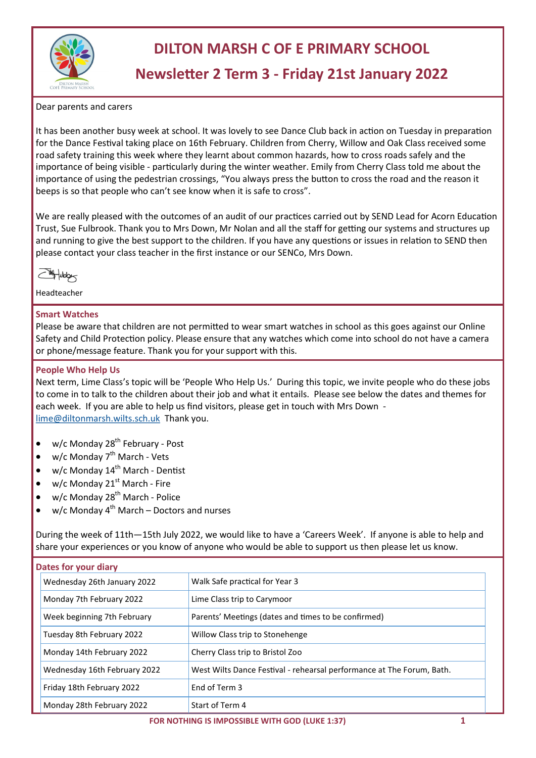

# **DILTON MARSH C OF E PRIMARY SCHOOL**

# **Newsletter 2 Term 3 - Friday 21st January 2022**

Dear parents and carers

It has been another busy week at school. It was lovely to see Dance Club back in action on Tuesday in preparation for the Dance Festival taking place on 16th February. Children from Cherry, Willow and Oak Class received some road safety training this week where they learnt about common hazards, how to cross roads safely and the importance of being visible - particularly during the winter weather. Emily from Cherry Class told me about the importance of using the pedestrian crossings, "You always press the button to cross the road and the reason it beeps is so that people who can't see know when it is safe to cross".

We are really pleased with the outcomes of an audit of our practices carried out by SEND Lead for Acorn Education Trust, Sue Fulbrook. Thank you to Mrs Down, Mr Nolan and all the staff for getting our systems and structures up and running to give the best support to the children. If you have any questions or issues in relation to SEND then please contact your class teacher in the first instance or our SENCo, Mrs Down.

 $\sqrt{\frac{14}{100}}$ 

Headteacher

#### **Smart Watches**

Please be aware that children are not permitted to wear smart watches in school as this goes against our Online Safety and Child Protection policy. Please ensure that any watches which come into school do not have a camera or phone/message feature. Thank you for your support with this.

#### **People Who Help Us**

Next term, Lime Class's topic will be 'People Who Help Us.' During this topic, we invite people who do these jobs to come in to talk to the children about their job and what it entails. Please see below the dates and themes for each week. If you are able to help us find visitors, please get in touch with Mrs Down [lime@diltonmarsh.wilts.sch.uk](mailto:lime@diltonmarsh.wilts.sch.uk) Thank you.

- w/c Monday  $28<sup>th</sup>$  February Post
- $w/c$  Monday  $7<sup>th</sup>$  March Vets
- $w/c$  Monday 14<sup>th</sup> March Dentist
- $w/c$  Monday 21<sup>st</sup> March Fire
- w/c Monday 28<sup>th</sup> March Police
- $w/c$  Monday 4<sup>th</sup> March Doctors and nurses

During the week of 11th—15th July 2022, we would like to have a 'Careers Week'. If anyone is able to help and share your experiences or you know of anyone who would be able to support us then please let us know.

| Dates for your diary         |                                                                       |  |  |  |
|------------------------------|-----------------------------------------------------------------------|--|--|--|
| Wednesday 26th January 2022  | Walk Safe practical for Year 3                                        |  |  |  |
| Monday 7th February 2022     | Lime Class trip to Carymoor                                           |  |  |  |
| Week beginning 7th February  | Parents' Meetings (dates and times to be confirmed)                   |  |  |  |
| Tuesday 8th February 2022    | Willow Class trip to Stonehenge                                       |  |  |  |
| Monday 14th February 2022    | Cherry Class trip to Bristol Zoo                                      |  |  |  |
| Wednesday 16th February 2022 | West Wilts Dance Festival - rehearsal performance at The Forum, Bath. |  |  |  |
| Friday 18th February 2022    | End of Term 3                                                         |  |  |  |
| Monday 28th February 2022    | Start of Term 4                                                       |  |  |  |

 **FOR NOTHING IS IMPOSSIBLE WITH GOD (LUKE 1:37) 1**